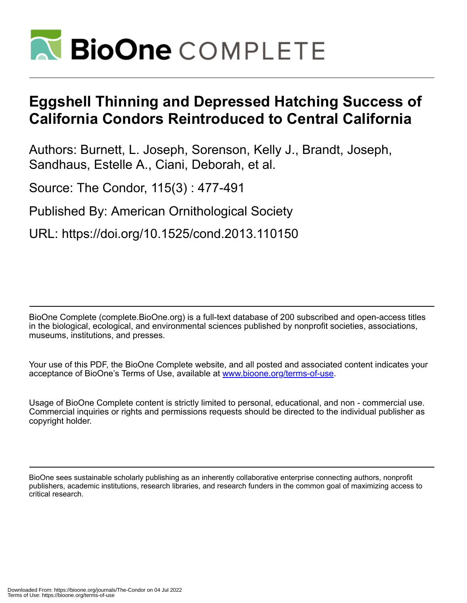

# **Eggshell Thinning and Depressed Hatching Success of California Condors Reintroduced to Central California**

Authors: Burnett, L. Joseph, Sorenson, Kelly J., Brandt, Joseph, Sandhaus, Estelle A., Ciani, Deborah, et al.

Source: The Condor, 115(3) : 477-491

Published By: American Ornithological Society

URL: https://doi.org/10.1525/cond.2013.110150

BioOne Complete (complete.BioOne.org) is a full-text database of 200 subscribed and open-access titles in the biological, ecological, and environmental sciences published by nonprofit societies, associations, museums, institutions, and presses.

Your use of this PDF, the BioOne Complete website, and all posted and associated content indicates your acceptance of BioOne's Terms of Use, available at www.bioone.org/terms-of-use.

Usage of BioOne Complete content is strictly limited to personal, educational, and non - commercial use. Commercial inquiries or rights and permissions requests should be directed to the individual publisher as copyright holder.

BioOne sees sustainable scholarly publishing as an inherently collaborative enterprise connecting authors, nonprofit publishers, academic institutions, research libraries, and research funders in the common goal of maximizing access to critical research.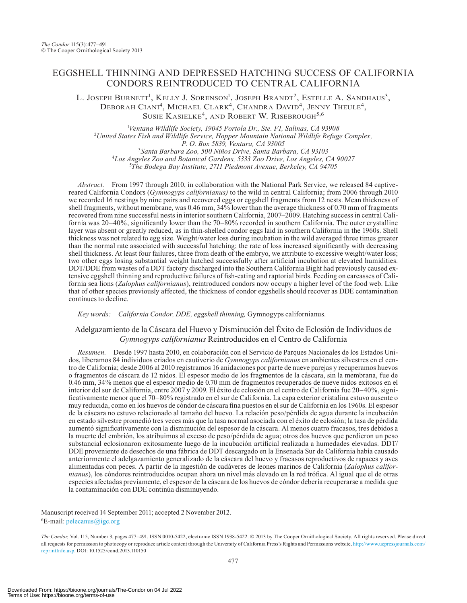# EGGSHELL THINNING AND DEPRESSED HATCHING SUCCESS OF CALIFORNIA CONDORS REINTRODUCED TO CENTRAL CALIFORNIA

L. JOSEPH BURNETT<sup>1</sup>, KELLY J. SORENSON<sup>1</sup>, JOSEPH BRANDT<sup>2</sup>, ESTELLE A. SANDHAUS<sup>3</sup>, DEBORAH CIANI<sup>4</sup>, MICHAEL CLARK<sup>4</sup>, CHANDRA DAVID<sup>4</sup>, JENNY THEULE<sup>4</sup>, SUSIE KASIELKE<sup>4</sup>, AND ROBERT W. RISEBROUGH<sup>5,6</sup>

<sup>1</sup>Ventana Wildlife Society, 19045 Portola Dr., Ste. F1, Salinas, CA 93908 *Ventana Wildlife Society, 19045 Portola Dr., Ste. F1, Salinas, CA 93908* <sup>2</sup> *United States Fish and Wildlife Service, Hopper Mountain National Wildlife Refuge Complex, P. O. Box 5839, Ventura, CA 93005* <sup>3</sup>*Santa Barbara Zoo, 500 Niños Drive, Santa Barbara, CA 93103* <sup>4</sup>*Los Angeles Zoo and Botanical Gardens, 5333 Zoo Drive, Los Angeles, CA 90027* <sup>5</sup> *The Bodega Bay Institute, 2711 Piedmont Avenue, Berkeley, CA 94705*

*Abstract.* From 1997 through 2010, in collaboration with the National Park Service, we released 84 captivereared California Condors (*Gymnogyps californianus)* to the wild in central California; from 2006 through 2010 we recorded 16 nestings by nine pairs and recovered eggs or eggshell fragments from 12 nests. Mean thickness of shell fragments, without membrane, was 0.46 mm, 34% lower than the average thickness of 0.70 mm of fragments recovered from nine successful nests in interior southern California, 2007–2009. Hatching success in central California was 20–40%, significantly lower than the 70–80% recorded in southern California. The outer crystalline layer was absent or greatly reduced, as in thin-shelled condor eggs laid in southern California in the 1960s. Shell thickness was not related to egg size. Weight/water loss during incubation in the wild averaged three times greater than the normal rate associated with successful hatching; the rate of loss increased significantly with decreasing shell thickness. At least four failures, three from death of the embryo, we attribute to excessive weight/water loss; two other eggs losing substantial weight hatched successfully after artificial incubation at elevated humidities. DDT/DDE from wastes of a DDT factory discharged into the Southern California Bight had previously caused extensive eggshell thinning and reproductive failures of fish-eating and raptorial birds. Feeding on carcasses of California sea lions (*Zalophus californianus*), reintroduced condors now occupy a higher level of the food web. Like that of other species previously affected, the thickness of condor eggshells should recover as DDE contamination continues to decline.

*Key words: California Condor, DDE, eggshell thinning,* Gymnogyps californianus.

Adelgazamiento de la Cáscara del Huevo y Disminución del Éxito de Eclosión de Individuos de *Gymnogyps californianus* Reintroducidos en el Centro de California

*Resumen.* Desde 1997 hasta 2010, en colaboración con el Servicio de Parques Nacionales de los Estados Unidos, liberamos 84 individuos criados en cautiverio de *Gymnogyps californianus* en ambientes silvestres en el centro de California; desde 2006 al 2010 registramos 16 anidaciones por parte de nueve parejas y recuperamos huevos o fragmentos de cáscara de 12 nidos. El espesor medio de los fragmentos de la cáscara, sin la membrana, fue de 0.46 mm, 34% menos que el espesor medio de 0.70 mm de fragmentos recuperados de nueve nidos exitosos en el interior del sur de California, entre 2007 y 2009. El éxito de eclosión en el centro de California fue 20–40%, significativamente menor que el 70–80% registrado en el sur de California. La capa exterior cristalina estuvo ausente o muy reducida, como en los huevos de cóndor de cáscara fina puestos en el sur de California en los 1960s. El espesor de la cáscara no estuvo relacionado al tamaño del huevo. La relación peso/pérdida de agua durante la incubación en estado silvestre promedió tres veces más que la tasa normal asociada con el éxito de eclosión; la tasa de pérdida aumentó significativamente con la disminución del espesor de la cáscara. Al menos cuatro fracasos, tres debidos a la muerte del embrión, los atribuimos al exceso de peso/pérdida de agua; otros dos huevos que perdieron un peso substancial eclosionaron exitosamente luego de la incubación artificial realizada a humedades elevadas. DDT/ DDE proveniente de desechos de una fábrica de DDT descargado en la Ensenada Sur de California había causado anteriormente el adelgazamiento generalizado de la cáscara del huevo y fracasos reproductivos de rapaces y aves alimentadas con peces. A partir de la ingestión de cadáveres de leones marinos de California (*Zalophus californianus*), los cóndores reintroducidos ocupan ahora un nivel más elevado en la red trófica. Al igual que el de otras especies afectadas previamente, el espesor de la cáscara de los huevos de cóndor debería recuperarse a medida que la contaminación con DDE continúa disminuyendo.

 ${}^{6}E$ -mail: pelecanus@igc.org Manuscript received 14 September 2011; accepted 2 November 2012.

*The Condor,* Vol. 115, Number 3, pages 477–491. ISSN 0010-5422, electronic ISSN 1938-5422. © 2013 by The Cooper Ornithological Society. All rights reserved. Please direct all requests for permission to photocopy or reproduce article content through the University of California Press's Rights and Permissions website, http://www.ucpressjournals.com/ reprintInfo.asp. DOI: 10.1525/cond.2013.110150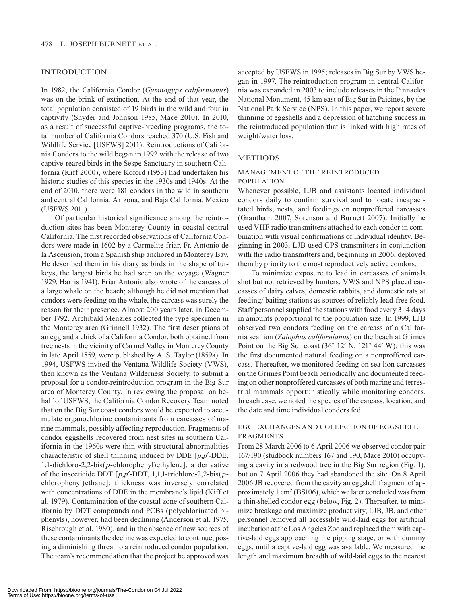# INTRODUCTION

In 1982, the California Condor (*Gymnogyps californianus*) was on the brink of extinction. At the end of that year, the total population consisted of 19 birds in the wild and four in captivity (Snyder and Johnson 1985, Mace 2010). In 2010, as a result of successful captive-breeding programs, the total number of California Condors reached 370 (U.S. Fish and Wildlife Service [USFWS] 2011). Reintroductions of California Condors to the wild began in 1992 with the release of two captive-reared birds in the Sespe Sanctuary in southern California (Kiff 2000), where Koford (1953) had undertaken his historic studies of this species in the 1930s and 1940s. At the end of 2010, there were 181 condors in the wild in southern and central California, Arizona, and Baja California, Mexico (USFWS 2011).

Of particular historical significance among the reintroduction sites has been Monterey County in coastal central California. The first recorded observations of California Condors were made in 1602 by a Carmelite friar, Fr. Antonio de la Ascension, from a Spanish ship anchored in Monterey Bay. He described them in his diary as birds in the shape of turkeys, the largest birds he had seen on the voyage (Wagner 1929, Harris 1941). Friar Antonio also wrote of the carcass of a large whale on the beach; although he did not mention that condors were feeding on the whale, the carcass was surely the reason for their presence. Almost 200 years later, in December 1792, Archibald Menzies collected the type specimen in the Monterey area (Grinnell 1932). The first descriptions of an egg and a chick of a California Condor, both obtained from tree nests in the vicinity of Carmel Valley in Monterey County in late April 1859, were published by A. S. Taylor (1859a). In 1994, USFWS invited the Ventana Wildlife Society (VWS), then known as the Ventana Wilderness Society, to submit a proposal for a condor-reintroduction program in the Big Sur area of Monterey County. In reviewing the proposal on behalf of USFWS, the California Condor Recovery Team noted that on the Big Sur coast condors would be expected to accumulate organochlorine contaminants from carcasses of marine mammals, possibly affecting reproduction. Fragments of condor eggshells recovered from nest sites in southern California in the 1960s were thin with structural abnormalities characteristic of shell thinning induced by DDE [*p*,*p*′-DDE, 1,1-dichloro-2,2-bis(*p*-chlorophenyl)ethylene], a derivative of the insecticide DDT [*p*,*p*′-DDT, 1,1,1-trichloro-2,2-bis(*p*chlorophenyl)ethane]; thickness was inversely correlated with concentrations of DDE in the membrane's lipid (Kiff et al. 1979). Contamination of the coastal zone of southern California by DDT compounds and PCBs (polychlorinated biphenyls), however, had been declining (Anderson et al. 1975, Risebrough et al. 1980), and in the absence of new sources of these contaminants the decline was expected to continue, posing a diminishing threat to a reintroduced condor population. The team's recommendation that the project be approved was

accepted by USFWS in 1995; releases in Big Sur by VWS began in 1997. The reintroduction program in central California was expanded in 2003 to include releases in the Pinnacles National Monument, 45 km east of Big Sur in Paicines, by the National Park Service (NPS). In this paper, we report severe thinning of eggshells and a depression of hatching success in the reintroduced population that is linked with high rates of weight/water loss.

### METHODS

#### MANAGEMENT OF THE REINTRODUCED POPULATION

Whenever possible, LJB and assistants located individual condors daily to confirm survival and to locate incapacitated birds, nests, and feedings on nonproffered carcasses (Grantham 2007, Sorenson and Burnett 2007). Initially he used VHF radio transmitters attached to each condor in combination with visual confirmations of individual identity. Beginning in 2003, LJB used GPS transmitters in conjunction with the radio transmitters and, beginning in 2006, deployed them by priority to the most reproductively active condors.

To minimize exposure to lead in carcasses of animals shot but not retrieved by hunters, VWS and NPS placed carcasses of dairy calves, domestic rabbits, and domestic rats at feeding/ baiting stations as sources of reliably lead-free food. Staff personnel supplied the stations with food every 3–4 days in amounts proportional to the population size. In 1999, LJB observed two condors feeding on the carcass of a California sea lion (*Zalophus californianus*) on the beach at Grimes Point on the Big Sur coast  $(36^{\circ} 12' N, 121^{\circ} 44' W)$ ; this was the first documented natural feeding on a nonproffered carcass. Thereafter, we monitored feeding on sea lion carcasses on the Grimes Point beach periodically and documented feeding on other nonproffered carcasses of both marine and terrestrial mammals opportunistically while monitoring condors. In each case, we noted the species of the carcass, location, and the date and time individual condors fed.

# EGG EXCHANGES AND COLLECTION OF EGGSHELL FRAGMENTS

From 28 March 2006 to 6 April 2006 we observed condor pair 167/190 (studbook numbers 167 and 190, Mace 2010) occupying a cavity in a redwood tree in the Big Sur region (Fig. 1), but on 7 April 2006 they had abandoned the site. On 8 April 2006 JB recovered from the cavity an eggshell fragment of approximately 1 cm<sup>2</sup> (BS106), which we later concluded was from a thin-shelled condor egg (below, Fig. 2). Thereafter, to minimize breakage and maximize productivity, LJB, JB, and other personnel removed all accessible wild-laid eggs for artificial incubation at the Los Angeles Zoo and replaced them with captive-laid eggs approaching the pipping stage, or with dummy eggs, until a captive-laid egg was available. We measured the length and maximum breadth of wild-laid eggs to the nearest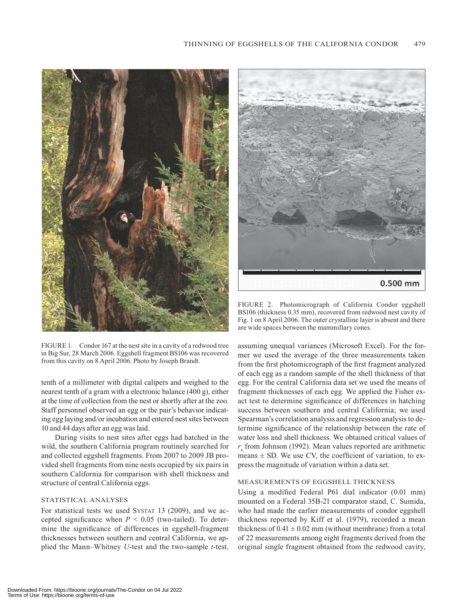

FIGURE 1. Condor 167 at the nest site in a cavity of a redwood tree in Big Sur, 28 March 2006. Eggshell fragment BS106 was recovered from this cavity on 8 April 2006. Photo by Joseph Brandt.

tenth of a millimeter with digital calipers and weighed to the nearest tenth of a gram with a electronic balance (400 g), either at the time of collection from the nest or shortly after at the zoo. Staff personnel observed an egg or the pair's behavior indicating egg laying and/or incubation and entered nest sites between 10 and 44 days after an egg was laid.

During visits to nest sites after eggs had hatched in the wild, the southern California program routinely searched for and collected eggshell fragments. From 2007 to 2009 JB provided shell fragments from nine nests occupied by six pairs in southern California for comparison with shell thickness and structure of central California eggs.

#### STATISTICAL ANALYSES

For statistical tests we used SYSTAT 13 (2009), and we accepted significance when  $P < 0.05$  (two-tailed). To determine the significance of differences in eggshell-fragment thicknesses between southern and central California, we applied the Mann–Whitney *U*-test and the two-sample *t-*test,



FIGURE 2. Photomicrograph of California Condor eggshell BS106 (thickness 0.35 mm), recovered from redwood nest cavity of Fig. 1 on 8 April 2006. The outer crystalline layer is absent and there are wide spaces between the mammillary cones.

assuming unequal variances (Microsoft Excel). For the former we used the average of the three measurements taken from the first photomicrograph of the first fragment analyzed of each egg as a random sample of the shell thickness of that egg. For the central California data set we used the means of fragment thicknesses of each egg. We applied the Fisher exact test to determine significance of differences in hatching success between southern and central California; we used Spearman's correlation analysis and regression analysis to determine significance of the relationship between the rate of water loss and shell thickness. We obtained critical values of *r*s from Johnson (1992). Mean values reported are arithmetic means  $\pm$  SD. We use CV, the coefficient of variation, to express the magnitude of variation within a data set.

#### MEASUREMENTS OF EGGSHELL THICKNESS

Using a modified Federal P61 dial indicator (0.01 mm) mounted on a Federal 35B-21 comparator stand, C. Sumida, who had made the earlier measurements of condor eggshell thickness reported by Kiff et al. (1979), recorded a mean thickness of  $0.41 \pm 0.02$  mm (without membrane) from a total of 22 measurements among eight fragments derived from the original single fragment obtained from the redwood cavity,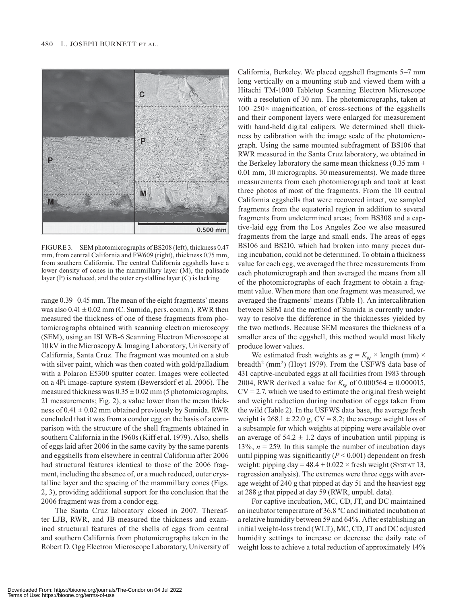

FIGURE 3. SEM photomicrographs of BS208 (left), thickness 0.47 mm, from central California and FW609 (right), thickness 0.75 mm, from southern California. The central California eggshells have a lower density of cones in the mammillary layer (M), the palisade layer (P) is reduced, and the outer crystalline layer (C) is lacking.

range 0.39–0.45 mm. The mean of the eight fragments' means was also  $0.41 \pm 0.02$  mm (C. Sumida, pers. comm.). RWR then measured the thickness of one of these fragments from photomicrographs obtained with scanning electron microscopy (SEM), using an ISI WB-6 Scanning Electron Microscope at 10 kV in the Microscopy & Imaging Laboratory, University of California, Santa Cruz. The fragment was mounted on a stub with silver paint, which was then coated with gold/palladium with a Polaron E5300 sputter coater. Images were collected on a 4Pi image-capture system (Bewersdorf et al. 2006). The measured thickness was  $0.35 \pm 0.02$  mm (5 photomicrographs, 21 measurements; Fig. 2), a value lower than the mean thickness of  $0.41 \pm 0.02$  mm obtained previously by Sumida. RWR concluded that it was from a condor egg on the basis of a comparison with the structure of the shell fragments obtained in southern California in the 1960s (Kiff et al. 1979). Also, shells of eggs laid after 2006 in the same cavity by the same parents and eggshells from elsewhere in central California after 2006 had structural features identical to those of the 2006 fragment, including the absence of, or a much reduced, outer crystalline layer and the spacing of the mammillary cones (Figs. 2, 3), providing additional support for the conclusion that the 2006 fragment was from a condor egg.

The Santa Cruz laboratory closed in 2007. Thereafter LJB, RWR, and JB measured the thickness and examined structural features of the shells of eggs from central and southern California from photomicrographs taken in the Robert D. Ogg Electron Microscope Laboratory, University of

California, Berkeley. We placed eggshell fragments 5–7 mm long vertically on a mounting stub and viewed them with a Hitachi TM-1000 Tabletop Scanning Electron Microscope with a resolution of 30 nm. The photomicrographs, taken at  $100-250\times$  magnification, of cross-sections of the eggshells and their component layers were enlarged for measurement with hand-held digital calipers. We determined shell thickness by calibration with the image scale of the photomicrograph. Using the same mounted subfragment of BS106 that RWR measured in the Santa Cruz laboratory, we obtained in the Berkeley laboratory the same mean thickness (0.35 mm  $\pm$ 0.01 mm, 10 micrographs, 30 measurements). We made three measurements from each photomicrograph and took at least three photos of most of the fragments. From the 10 central California eggshells that were recovered intact, we sampled fragments from the equatorial region in addition to several fragments from undetermined areas; from BS308 and a captive-laid egg from the Los Angeles Zoo we also measured fragments from the large and small ends. The areas of eggs BS106 and BS210, which had broken into many pieces during incubation, could not be determined. To obtain a thickness value for each egg, we averaged the three measurements from each photomicrograph and then averaged the means from all of the photomicrographs of each fragment to obtain a fragment value. When more than one fragment was measured, we averaged the fragments' means (Table 1). An intercalibration between SEM and the method of Sumida is currently underway to resolve the difference in the thicknesses yielded by the two methods. Because SEM measures the thickness of a smaller area of the eggshell, this method would most likely produce lower values.

We estimated fresh weights as  $g = K_w \times \text{length (mm)} \times$ breadth<sup>2</sup> (mm<sup>2</sup>) (Hoyt 1979). From the USFWS data base of 431 captive-incubated eggs at all facilities from 1983 through 2004, RWR derived a value for  $K_{\text{w}}$  of 0.000564  $\pm$  0.000015,  $CV = 2.7$ , which we used to estimate the original fresh weight and weight reduction during incubation of eggs taken from the wild (Table 2). In the USFWS data base, the average fresh weight is  $268.1 \pm 22.0$  g, CV = 8.2; the average weight loss of a subsample for which weights at pipping were available over an average of  $54.2 \pm 1.2$  days of incubation until pipping is 13%,  $n = 259$ . In this sample the number of incubation days until pipping was significantly  $(P < 0.001)$  dependent on fresh weight: pipping day =  $48.4 + 0.022 \times$  fresh weight (SYSTAT 13, regression analysis). The extremes were three eggs with average weight of 240 g that pipped at day 51 and the heaviest egg at 288 g that pipped at day 59 (RWR, unpubl. data).

For captive incubation, MC, CD, JT, and DC maintained an incubator temperature of  $36.8$  °C and initiated incubation at a relative humidity between 59 and 64%. After establishing an initial weight-loss trend (WLT), MC, CD, JT and DC adjusted humidity settings to increase or decrease the daily rate of weight loss to achieve a total reduction of approximately 14%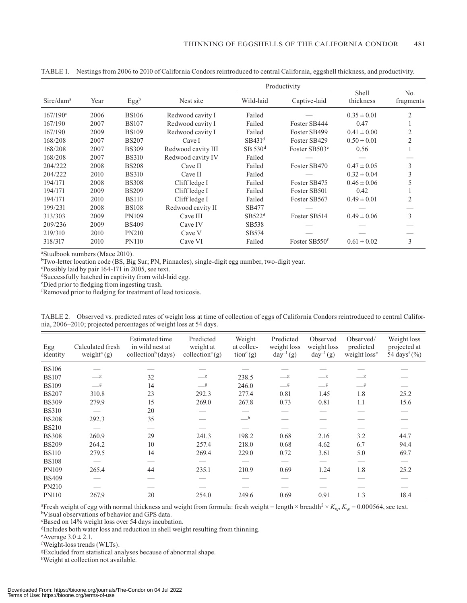|                       |      |              |                    |                     | Productivity              |                    |                  |
|-----------------------|------|--------------|--------------------|---------------------|---------------------------|--------------------|------------------|
| Sire/dam <sup>a</sup> | Year | $Egg^b$      | Nest site          | Wild-laid           | Captive-laid              | Shell<br>thickness | No.<br>fragments |
| $167/190^{\circ}$     | 2006 | <b>BS106</b> | Redwood cavity I   | Failed              |                           | $0.35 \pm 0.01$    | $\overline{2}$   |
| 167/190               | 2007 | <b>BS107</b> | Redwood cavity I   | Failed              | Foster SB444              | 0.47               |                  |
| 167/190               | 2009 | <b>BS109</b> | Redwood cavity I   | Failed              | Foster SB499              | $0.41 \pm 0.00$    | 2                |
| 168/208               | 2007 | <b>BS207</b> | Cave I             | SB431 <sup>d</sup>  | Foster SB429              | $0.50 \pm 0.01$    | 2                |
| 168/208               | 2007 | <b>BS309</b> | Redwood cavity III | SB 530 <sup>d</sup> | Foster SB503 <sup>e</sup> | 0.56               |                  |
| 168/208               | 2007 | <b>BS310</b> | Redwood cavity IV  | Failed              |                           |                    |                  |
| 204/222               | 2008 | <b>BS208</b> | Cave II            | Failed              | Foster SB470              | $0.47 \pm 0.05$    | 3                |
| 204/222               | 2010 | <b>BS310</b> | Cave II            | Failed              |                           | $0.32 \pm 0.04$    | 3                |
| 194/171               | 2008 | <b>BS308</b> | Cliff ledge I      | Failed              | Foster SB475              | $0.46 \pm 0.06$    |                  |
| 194/171               | 2009 | <b>BS209</b> | Cliff ledge I      | Failed              | Foster SB501              | 0.42               |                  |
| 194/171               | 2010 | <b>BS110</b> | Cliff ledge I      | Failed              | Foster SB567              | $0.49 \pm 0.01$    | 2                |
| 199/231               | 2008 | <b>BS108</b> | Redwood cavity II  | SB477               |                           |                    |                  |
| 313/303               | 2009 | PN109        | Cave III           | SB522 <sup>d</sup>  | Foster SB514              | $0.49 \pm 0.06$    | 3                |
| 209/236               | 2009 | <b>BS409</b> | Cave IV            | <b>SB538</b>        |                           |                    |                  |
| 219/310               | 2010 | <b>PN210</b> | Cave V             | SB574               |                           |                    |                  |
| 318/317               | 2010 | <b>PN110</b> | Cave VI            | Failed              | Foster SB550 <sup>f</sup> | $0.61 \pm 0.02$    | 3                |

TABLE 1. Nestings from 2006 to 2010 of California Condors reintroduced to central California, eggshell thickness, and productivity.

a Studbook numbers (Mace 2010).

b Two-letter location code (BS, Big Sur; PN, Pinnacles), single-digit egg number, two-digit year.

c Possibly laid by pair 164-171 in 2005, see text.

dSuccessfully hatched in captivity from wild-laid egg.

e Died prior to fledging from ingesting trash.

f Removed prior to fledging for treatment of lead toxicosis.

| Egg<br>identity | Calculated fresh<br>weight <sup>a</sup> $(g)$ | <b>Estimated time</b><br>in wild nest at<br>collection <sup>b</sup> (days) | Predicted<br>weight at<br>$\text{collection}^c(g)$ | Weight<br>at collec-<br>$\text{tion}^{\text{d}}(g)$ | Predicted<br>weight loss<br>$day^{-1}(g)$ | Observed<br>weight loss<br>$day^{-1}(g)$ | Observed/<br>predicted<br>weight loss <sup>e</sup> | Weight loss<br>projected at<br>54 days <sup>f</sup> $(\%)$ |
|-----------------|-----------------------------------------------|----------------------------------------------------------------------------|----------------------------------------------------|-----------------------------------------------------|-------------------------------------------|------------------------------------------|----------------------------------------------------|------------------------------------------------------------|
| <b>BS106</b>    |                                               |                                                                            |                                                    |                                                     |                                           |                                          |                                                    |                                                            |
| <b>BS107</b>    | $\_\_g$                                       | 32                                                                         | $\_\_$                                             | 238.5                                               | $\_\_$                                    | $\_\_$                                   | $\_\_$                                             |                                                            |
| <b>BS109</b>    | $\_\_g$                                       | 14                                                                         | $\_\_$                                             | 246.0                                               | $\_\_$                                    | $\_\_$                                   | $\_\_$                                             |                                                            |
| <b>BS207</b>    | 310.8                                         | 23                                                                         | 292.3                                              | 277.4                                               | 0.81                                      | 1.45                                     | 1.8                                                | 25.2                                                       |
| <b>BS309</b>    | 279.9                                         | 15                                                                         | 269.0                                              | 267.8                                               | 0.73                                      | 0.81                                     | 1.1                                                | 15.6                                                       |
| <b>BS310</b>    |                                               | 20                                                                         |                                                    |                                                     |                                           |                                          |                                                    |                                                            |
| <b>BS208</b>    | 292.3                                         | 35                                                                         |                                                    | $-h$                                                |                                           |                                          |                                                    |                                                            |
| <b>BS210</b>    |                                               |                                                                            |                                                    |                                                     |                                           |                                          |                                                    |                                                            |
| <b>BS308</b>    | 260.9                                         | 29                                                                         | 241.3                                              | 198.2                                               | 0.68                                      | 2.16                                     | 3.2                                                | 44.7                                                       |
| <b>BS209</b>    | 264.2                                         | 10                                                                         | 257.4                                              | 218.0                                               | 0.68                                      | 4.62                                     | 6.7                                                | 94.4                                                       |
| <b>BS110</b>    | 279.5                                         | 14                                                                         | 269.4                                              | 229.0                                               | 0.72                                      | 3.61                                     | 5.0                                                | 69.7                                                       |
| <b>BS108</b>    |                                               |                                                                            |                                                    |                                                     |                                           |                                          |                                                    |                                                            |
| <b>PN109</b>    | 265.4                                         | 44                                                                         | 235.1                                              | 210.9                                               | 0.69                                      | 1.24                                     | 1.8                                                | 25.2                                                       |
| <b>BS409</b>    |                                               |                                                                            |                                                    |                                                     |                                           |                                          |                                                    |                                                            |
| <b>PN210</b>    |                                               |                                                                            |                                                    |                                                     |                                           |                                          |                                                    |                                                            |
| <b>PN110</b>    | 267.9                                         | 20                                                                         | 254.0                                              | 249.6                                               | 0.69                                      | 0.91                                     | 1.3                                                | 18.4                                                       |

TABLE 2. Observed vs. predicted rates of weight loss at time of collection of eggs of California Condors reintroduced to central California, 2006–2010; projected percentages of weight loss at 54 days.

<sup>a</sup> Fresh weight of egg with normal thickness and weight from formula: fresh weight = length × breadth<sup>2</sup> ×  $K_{\rm W}$ ,  $K_{\rm W}$  = 0.000564, see text. by isymple present on the by-Visual observations of behavior and GPS data.

c Based on 14% weight loss over 54 days incubation.

dIncludes both water loss and reduction in shell weight resulting from thinning.

 $e^e$ Average  $3.0 \pm 2.1$ .

f Weight-loss trends (WLTs).

gExcluded from statistical analyses because of abnormal shape.

<sup>h</sup>Weight at collection not available.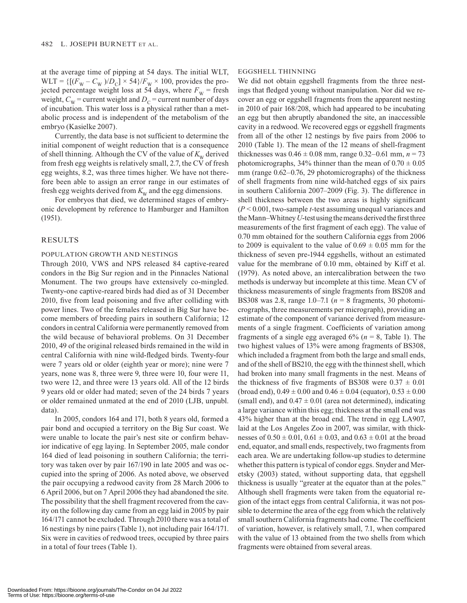at the average time of pipping at 54 days. The initial WLT,  $WLT = \{[(F<sub>W</sub> - C<sub>W</sub>)/D<sub>C</sub>] \times 54\}/F<sub>W</sub> \times 100$ , provides the projected percentage weight loss at 54 days, where  $F_w$  = fresh weight,  $C_{\text{W}}$  = current weight and  $D_{\text{C}}$  = current number of days of incubation. This water loss is a physical rather than a metabolic process and is independent of the metabolism of the embryo (Kasielke 2007).

Currently, the data base is not sufficient to determine the initial component of weight reduction that is a consequence of shell thinning. Although the CV of the value of  $K_{W}$  derived from fresh egg weights is relatively small, 2.7, the CV of fresh egg weights, 8.2, was three times higher. We have not therefore been able to assign an error range in our estimates of fresh egg weights derived from  $K_w$  and the egg dimensions.

For embryos that died, we determined stages of embryonic development by reference to Hamburger and Hamilton (1951).

#### RESULTS

#### POPULATION GROWTH AND NESTINGS

Through 2010, VWS and NPS released 84 captive-reared condors in the Big Sur region and in the Pinnacles National Monument. The two groups have extensively co-mingled. Twenty-one captive-reared birds had died as of 31 December 2010, five from lead poisoning and five after colliding with power lines. Two of the females released in Big Sur have become members of breeding pairs in southern California; 12 condors in central California were permanently removed from the wild because of behavioral problems. On 31 December 2010, 49 of the original released birds remained in the wild in central California with nine wild-fledged birds. Twenty-four were 7 years old or older (eighth year or more); nine were 7 years, none was 8, three were 9, three were 10, four were 11, two were 12, and three were 13 years old. All of the 12 birds 9 years old or older had mated; seven of the 24 birds 7 years or older remained unmated at the end of 2010 (LJB, unpubl. data).

In 2005, condors 164 and 171, both 8 years old, formed a pair bond and occupied a territory on the Big Sur coast. We were unable to locate the pair's nest site or confirm behavior indicative of egg laying. In September 2005, male condor 164 died of lead poisoning in southern California; the territory was taken over by pair 167/190 in late 2005 and was occupied into the spring of 2006. As noted above, we observed the pair occupying a redwood cavity from 28 March 2006 to 6 April 2006, but on 7 April 2006 they had abandoned the site. The possibility that the shell fragment recovered from the cavity on the following day came from an egg laid in 2005 by pair 164/171 cannot be excluded. Through 2010 there was a total of 16 nestings by nine pairs (Table 1), not including pair 164/171. Six were in cavities of redwood trees, occupied by three pairs in a total of four trees (Table 1).

#### EGGSHELL THINNING

We did not obtain eggshell fragments from the three nestings that fledged young without manipulation. Nor did we recover an egg or eggshell fragments from the apparent nesting in 2010 of pair 168/208, which had appeared to be incubating an egg but then abruptly abandoned the site, an inaccessible cavity in a redwood. We recovered eggs or eggshell fragments from all of the other 12 nestings by five pairs from 2006 to 2010 (Table 1). The mean of the 12 means of shell-fragment thicknesses was  $0.46 \pm 0.08$  mm, range  $0.32 - 0.61$  mm,  $n = 73$ photomicrographs, 34% thinner than the mean of  $0.70 \pm 0.05$ mm (range 0.62–0.76, 29 photomicrographs) of the thickness of shell fragments from nine wild-hatched eggs of six pairs in southern California 2007–2009 (Fig. 3). The difference in shell thickness between the two areas is highly significant (*P* < 0.001, two-sample *t-*test assuming unequal variances and the Mann–Whitney *U*-test using the means derived the first three measurements of the first fragment of each egg). The value of 0.70 mm obtained for the southern California eggs from 2006 to 2009 is equivalent to the value of  $0.69 \pm 0.05$  mm for the thickness of seven pre-1944 eggshells, without an estimated value for the membrane of 0.10 mm, obtained by Kiff et al. (1979). As noted above, an intercalibration between the two methods is underway but incomplete at this time. Mean CV of thickness measurements of single fragments from BS208 and BS308 was 2.8, range 1.0–7.1 (*n* = 8 fragments, 30 photomicrographs, three measurements per micrograph), providing an estimate of the component of variance derived from measurements of a single fragment. Coefficients of variation among fragments of a single egg averaged  $6\%$  ( $n = 8$ , Table 1). The two highest values of 13% were among fragments of BS308, which included a fragment from both the large and small ends, and of the shell of BS210, the egg with the thinnest shell, which had broken into many small fragments in the nest. Means of the thickness of five fragments of BS308 were  $0.37 \pm 0.01$ (broad end),  $0.49 \pm 0.00$  and  $0.46 \pm 0.04$  (equator),  $0.53 \pm 0.00$ (small end), and  $0.47 \pm 0.01$  (area not determined), indicating a large variance within this egg; thickness at the small end was 43% higher than at the broad end. The trend in egg LA907, laid at the Los Angeles Zoo in 2007, was similar, with thicknesses of  $0.50 \pm 0.01$ ,  $0.61 \pm 0.03$ , and  $0.63 \pm 0.01$  at the broad end, equator, and small ends, respectively, two fragments from each area. We are undertaking follow-up studies to determine whether this pattern is typical of condor eggs. Snyder and Meretsky (2003) stated, without supporting data, that eggshell thickness is usually "greater at the equator than at the poles." Although shell fragments were taken from the equatorial region of the intact eggs from central California, it was not possible to determine the area of the egg from which the relatively small southern California fragments had come. The coefficient of variation, however, is relatively small, 7.1, when compared with the value of 13 obtained from the two shells from which fragments were obtained from several areas.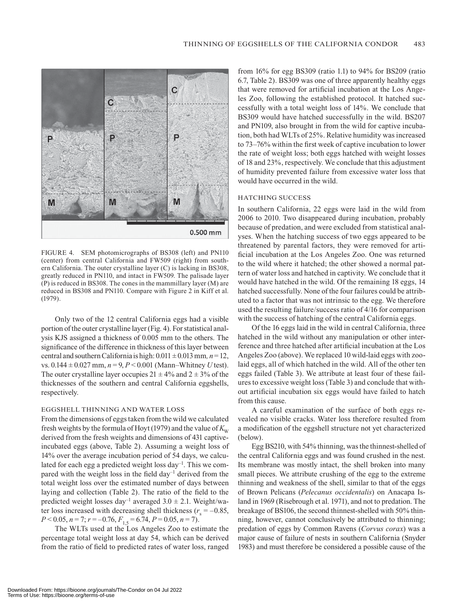

FIGURE 4. SEM photomicrographs of BS308 (left) and PN110 (center) from central California and FW509 (right) from southern California. The outer crystalline layer (C) is lacking in BS308, greatly reduced in PN110, and intact in FW509. The palisade layer (P) is reduced in BS308. The cones in the mammillary layer (M) are reduced in BS308 and PN110. Compare with Figure 2 in Kiff et al. (1979).

Only two of the 12 central California eggs had a visible portion of the outer crystalline layer (Fig. 4). For statistical analysis KJS assigned a thickness of 0.005 mm to the others. The significance of the difference in thickness of this layer between central and southern California is high:  $0.011 \pm 0.013$  mm,  $n = 12$ , vs. 0.144 ± 0.027 mm, *n* = 9, *P* < 0.001 (Mann–Whitney *U* test). The outer crystalline layer occupies  $21 \pm 4\%$  and  $2 \pm 3\%$  of the thicknesses of the southern and central California eggshells, respectively.

#### EGGSHELL THINNING AND WATER LOSS

From the dimensions of eggs taken from the wild we calculated fresh weights by the formula of Hoyt (1979) and the value of  $K_{W}$ derived from the fresh weights and dimensions of 431 captiveincubated eggs (above, Table 2). Assuming a weight loss of 14% over the average incubation period of 54 days, we calculated for each egg a predicted weight loss day<sup>-1</sup>. This we compared with the weight loss in the field  $day^{-1}$  derived from the total weight loss over the estimated number of days between laying and collection (Table 2). The ratio of the field to the predicted weight losses day<sup>-1</sup> averaged  $3.0 \pm 2.1$ . Weight/water loss increased with decreasing shell thickness ( $r_s = -0.85$ ,  $P < 0.05$ ,  $n = 7$ ;  $r = -0.76$ ,  $F_{1.5} = 6.74$ ,  $P = 0.05$ ,  $n = 7$ ).

The WLTs used at the Los Angeles Zoo to estimate the percentage total weight loss at day 54, which can be derived from the ratio of field to predicted rates of water loss, ranged

from 16% for egg BS309 (ratio 1.1) to 94% for BS209 (ratio 6.7, Table 2). BS309 was one of three apparently healthy eggs that were removed for artificial incubation at the Los Angeles Zoo, following the established protocol. It hatched successfully with a total weight loss of 14%. We conclude that BS309 would have hatched successfully in the wild. BS207 and PN109, also brought in from the wild for captive incubation, both had WLTs of 25%. Relative humidity was increased to 73–76% within the first week of captive incubation to lower the rate of weight loss; both eggs hatched with weight losses of 18 and 23%, respectively. We conclude that this adjustment of humidity prevented failure from excessive water loss that would have occurred in the wild.

# HATCHING SUCCESS

In southern California, 22 eggs were laid in the wild from 2006 to 2010. Two disappeared during incubation, probably because of predation, and were excluded from statistical analyses. When the hatching success of two eggs appeared to be threatened by parental factors, they were removed for artificial incubation at the Los Angeles Zoo. One was returned to the wild where it hatched; the other showed a normal pattern of water loss and hatched in captivity. We conclude that it would have hatched in the wild. Of the remaining 18 eggs, 14 hatched successfully. None of the four failures could be attributed to a factor that was not intrinsic to the egg. We therefore used the resulting failure/success ratio of 4/16 for comparison with the success of hatching of the central California eggs.

Of the 16 eggs laid in the wild in central California, three hatched in the wild without any manipulation or other interference and three hatched after artificial incubation at the Los Angeles Zoo (above). We replaced 10 wild-laid eggs with zoolaid eggs, all of which hatched in the wild. All of the other ten eggs failed (Table 3). We attribute at least four of these failures to excessive weight loss (Table 3) and conclude that without artificial incubation six eggs would have failed to hatch from this cause.

A careful examination of the surface of both eggs revealed no visible cracks. Water loss therefore resulted from a modification of the eggshell structure not yet characterized (below).

Egg BS210, with 54% thinning, was the thinnest-shelled of the central California eggs and was found crushed in the nest. Its membrane was mostly intact, the shell broken into many small pieces. We attribute crushing of the egg to the extreme thinning and weakness of the shell, similar to that of the eggs of Brown Pelicans (*Pelecanus occidentalis*) on Anacapa Island in 1969 (Risebrough et al. 1971), and not to predation. The breakage of BS106, the second thinnest-shelled with 50% thinning, however, cannot conclusively be attributed to thinning; predation of eggs by Common Ravens (*Corvus corax*) was a major cause of failure of nests in southern California (Snyder 1983) and must therefore be considered a possible cause of the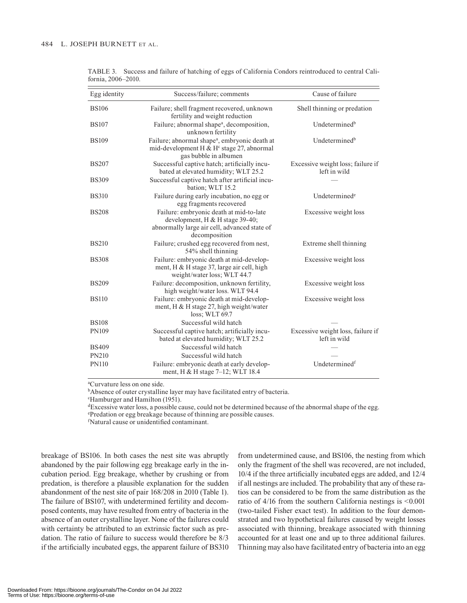| Egg identity | Success/failure; comments                                                                                                                   | Cause of failure                                  |
|--------------|---------------------------------------------------------------------------------------------------------------------------------------------|---------------------------------------------------|
| <b>BS106</b> | Failure; shell fragment recovered, unknown<br>fertility and weight reduction                                                                | Shell thinning or predation                       |
| <b>BS107</b> | Failure; abnormal shape <sup>a</sup> , decomposition,<br>unknown fertility                                                                  | Undetermined <sup>b</sup>                         |
| <b>BS109</b> | Failure; abnormal shape <sup>a</sup> , embryonic death at<br>mid-development H & H $c$ stage 27, abnormal<br>gas bubble in albumen          | Undetermined <sup>b</sup>                         |
| <b>BS207</b> | Successful captive hatch; artificially incu-<br>bated at elevated humidity; WLT 25.2                                                        | Excessive weight loss; failure if<br>left in wild |
| <b>BS309</b> | Successful captive hatch after artificial incu-<br>bation; WLT 15.2                                                                         |                                                   |
| <b>BS310</b> | Failure during early incubation, no egg or<br>egg fragments recovered                                                                       | Undetermined <sup>e</sup>                         |
| <b>BS208</b> | Failure: embryonic death at mid-to-late<br>development, H & H stage 39-40;<br>abnormally large air cell, advanced state of<br>decomposition | Excessive weight loss                             |
| <b>BS210</b> | Failure; crushed egg recovered from nest,<br>54% shell thinning                                                                             | Extreme shell thinning                            |
| <b>BS308</b> | Failure: embryonic death at mid-develop-<br>ment, H & H stage 37, large air cell, high<br>weight/water loss; WLT 44.7                       | Excessive weight loss                             |
| <b>BS209</b> | Failure: decomposition, unknown fertility,<br>high weight/water loss. WLT 94.4                                                              | Excessive weight loss                             |
| <b>BS110</b> | Failure: embryonic death at mid-develop-<br>ment, H & H stage 27, high weight/water<br>loss; WLT 69.7                                       | Excessive weight loss                             |
| <b>BS108</b> | Successful wild hatch                                                                                                                       |                                                   |
| PN109        | Successful captive hatch; artificially incu-<br>bated at elevated humidity; WLT 25.2                                                        | Excessive weight loss, failure if<br>left in wild |
| <b>BS409</b> | Successful wild hatch                                                                                                                       |                                                   |
| <b>PN210</b> | Successful wild hatch                                                                                                                       |                                                   |
| <b>PN110</b> | Failure: embryonic death at early develop-<br>ment, H & H stage 7-12; WLT 18.4                                                              | Undeterminedf                                     |

TABLE 3. Success and failure of hatching of eggs of California Condors reintroduced to central California, 2006–2010.

a Curvature less on one side.

<sup>b</sup>Absence of outer crystalline layer may have facilitated entry of bacteria.

c Hamburger and Hamilton (1951).

dExcessive water loss, a possible cause, could not be determined because of the abnormal shape of the egg. e Predation or egg breakage because of thinning are possible causes.

f Natural cause or unidentified contaminant.

breakage of BS106. In both cases the nest site was abruptly abandoned by the pair following egg breakage early in the incubation period. Egg breakage, whether by crushing or from predation, is therefore a plausible explanation for the sudden abandonment of the nest site of pair 168/208 in 2010 (Table 1). The failure of BS107, with undetermined fertility and decomposed contents, may have resulted from entry of bacteria in the absence of an outer crystalline layer. None of the failures could with certainty be attributed to an extrinsic factor such as predation. The ratio of failure to success would therefore be 8/3 if the artificially incubated eggs, the apparent failure of BS310 from undetermined cause, and BS106, the nesting from which only the fragment of the shell was recovered, are not included, 10/4 if the three artificially incubated eggs are added, and 12/4 if all nestings are included. The probability that any of these ratios can be considered to be from the same distribution as the ratio of 4/16 from the southern California nestings is <0.001 (two-tailed Fisher exact test). In addition to the four demonstrated and two hypothetical failures caused by weight losses associated with thinning, breakage associated with thinning accounted for at least one and up to three additional failures. Thinning may also have facilitated entry of bacteria into an egg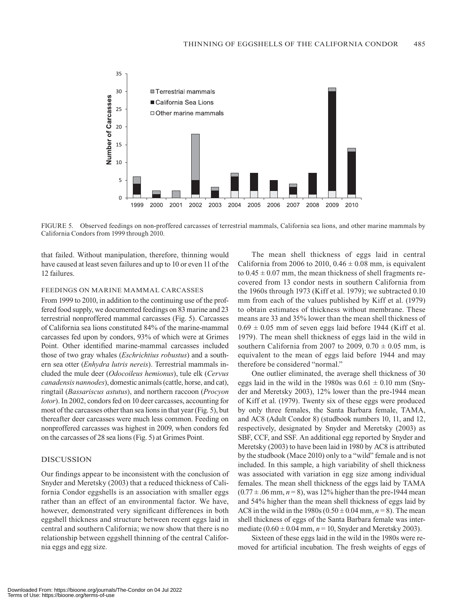

FIGURE 5. Observed feedings on non-proffered carcasses of terrestrial mammals, California sea lions, and other marine mammals by California Condors from 1999 through 2010.

that failed. Without manipulation, therefore, thinning would have caused at least seven failures and up to 10 or even 11 of the 12 failures.

# FEEDINGS ON MARINE MAMMAL CARCASSES

From 1999 to 2010, in addition to the continuing use of the proffered food supply, we documented feedings on 83 marine and 23 terrestrial nonproffered mammal carcasses (Fig. 5). Carcasses of California sea lions constituted 84% of the marine-mammal carcasses fed upon by condors, 93% of which were at Grimes Point. Other identified marine-mammal carcasses included those of two gray whales (*Eschrichtius robustus*) and a southern sea otter (*Enhydra lutris nereis*). Terrestrial mammals included the mule deer (*Odocoileus hemionus*), tule elk (*Cervus canadensis nannodes*), domestic animals (cattle, horse, and cat), ringtail (*Bassariscus astutus*), and northern raccoon (*Procyon lotor*). In 2002, condors fed on 10 deer carcasses, accounting for most of the carcasses other than sea lions in that year (Fig. 5), but thereafter deer carcasses were much less common. Feeding on nonproffered carcasses was highest in 2009, when condors fed on the carcasses of 28 sea lions (Fig. 5) at Grimes Point.

#### DISCUSSION

Our findings appear to be inconsistent with the conclusion of Snyder and Meretsky (2003) that a reduced thickness of California Condor eggshells is an association with smaller eggs rather than an effect of an environmental factor. We have, however, demonstrated very significant differences in both eggshell thickness and structure between recent eggs laid in central and southern California; we now show that there is no relationship between eggshell thinning of the central California eggs and egg size.

The mean shell thickness of eggs laid in central California from 2006 to 2010,  $0.46 \pm 0.08$  mm, is equivalent to  $0.45 \pm 0.07$  mm, the mean thickness of shell fragments recovered from 13 condor nests in southern California from the 1960s through 1973 (Kiff et al. 1979); we subtracted 0.10 mm from each of the values published by Kiff et al. (1979) to obtain estimates of thickness without membrane. These means are 33 and 35% lower than the mean shell thickness of  $0.69 \pm 0.05$  mm of seven eggs laid before 1944 (Kiff et al. 1979). The mean shell thickness of eggs laid in the wild in southern California from 2007 to 2009,  $0.70 \pm 0.05$  mm, is equivalent to the mean of eggs laid before 1944 and may therefore be considered "normal."

One outlier eliminated, the average shell thickness of 30 eggs laid in the wild in the 1980s was  $0.61 \pm 0.10$  mm (Snyder and Meretsky 2003), 12% lower than the pre-1944 mean of Kiff et al. (1979). Twenty six of these eggs were produced by only three females, the Santa Barbara female, TAMA, and AC8 (Adult Condor 8) (studbook numbers 10, 11, and 12, respectively, designated by Snyder and Meretsky (2003) as SBF, CCF, and SSF. An additional egg reported by Snyder and Meretsky (2003) to have been laid in 1980 by AC8 is attributed by the studbook (Mace 2010) only to a "wild" female and is not included. In this sample, a high variability of shell thickness was associated with variation in egg size among individual females. The mean shell thickness of the eggs laid by TAMA  $(0.77 \pm .06 \text{ mm}, n = 8)$ , was 12% higher than the pre-1944 mean and 54% higher than the mean shell thickness of eggs laid by AC8 in the wild in the 1980s  $(0.50 \pm 0.04 \text{ mm}, n = 8)$ . The mean shell thickness of eggs of the Santa Barbara female was intermediate  $(0.60 \pm 0.04 \text{ mm}, n = 10)$ , Snyder and Meretsky 2003).

Sixteen of these eggs laid in the wild in the 1980s were removed for artificial incubation. The fresh weights of eggs of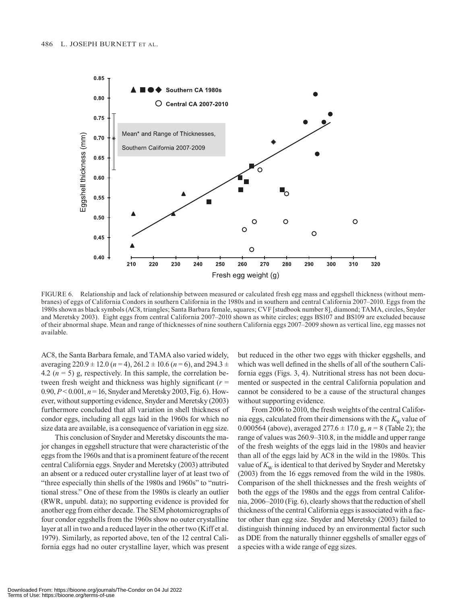

FIGURE 6. Relationship and lack of relationship between measured or calculated fresh egg mass and eggshell thickness (without membranes) of eggs of California Condors in southern California in the 1980s and in southern and central California 2007–2010. Eggs from the 1980s shown as black symbols (AC8, triangles; Santa Barbara female, squares; CVF [studbook number 8], diamond; TAMA, circles, Snyder and Meretsky 2003). Eight eggs from central California 2007–2010 shown as white circles; eggs BS107 and BS109 are excluded because of their abnormal shape. Mean and range of thicknesses of nine southern California eggs 2007–2009 shown as vertical line, egg masses not available.

AC8, the Santa Barbara female, and TAMA also varied widely, averaging  $220.9 \pm 12.0$  ( $n = 4$ ),  $261.2 \pm 10.6$  ( $n = 6$ ), and  $294.3 \pm 10.6$ 4.2 ( $n = 5$ ) g, respectively. In this sample, the correlation between fresh weight and thickness was highly significant (*r* = 0.90, *P* < 0.001, *n* = 16, Snyder and Meretsky 2003, Fig. 6). However, without supporting evidence, Snyder and Meretsky (2003) furthermore concluded that all variation in shell thickness of condor eggs, including all eggs laid in the 1960s for which no size data are available, is a consequence of variation in egg size.

This conclusion of Snyder and Meretsky discounts the major changes in eggshell structure that were characteristic of the eggs from the 1960s and that is a prominent feature of the recent central California eggs. Snyder and Meretsky (2003) attributed an absent or a reduced outer crystalline layer of at least two of "three especially thin shells of the 1980s and 1960s" to "nutritional stress." One of these from the 1980s is clearly an outlier (RWR, unpubl. data); no supporting evidence is provided for another egg from either decade. The SEM photomicrographs of four condor eggshells from the 1960s show no outer crystalline layer at all in two and a reduced layer in the other two (Kiff et al. 1979). Similarly, as reported above, ten of the 12 central California eggs had no outer crystalline layer, which was present

but reduced in the other two eggs with thicker eggshells, and which was well defined in the shells of all of the southern California eggs (Figs. 3, 4). Nutritional stress has not been documented or suspected in the central California population and cannot be considered to be a cause of the structural changes without supporting evidence.

From 2006 to 2010, the fresh weights of the central California eggs, calculated from their dimensions with the  $K_w$  value of 0.000564 (above), averaged 277.6 ± 17.0 g, *n* = 8 (Table 2); the range of values was 260.9–310.8, in the middle and upper range of the fresh weights of the eggs laid in the 1980s and heavier than all of the eggs laid by AC8 in the wild in the 1980s. This value of  $K_w$  is identical to that derived by Snyder and Meretsky (2003) from the 16 eggs removed from the wild in the 1980s. Comparison of the shell thicknesses and the fresh weights of both the eggs of the 1980s and the eggs from central California, 2006–2010 (Fig. 6), clearly shows that the reduction of shell thickness of the central California eggs is associated with a factor other than egg size. Snyder and Meretsky (2003) failed to distinguish thinning induced by an environmental factor such as DDE from the naturally thinner eggshells of smaller eggs of a species with a wide range of egg sizes.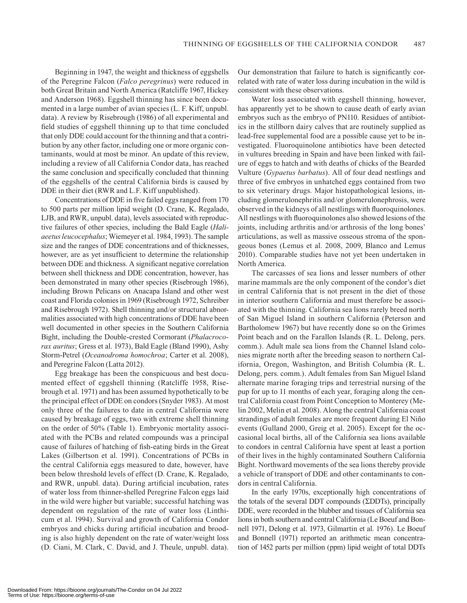Beginning in 1947, the weight and thickness of eggshells of the Peregrine Falcon (*Falco peregrinus*) were reduced in both Great Britain and North America (Ratcliffe 1967, Hickey and Anderson 1968). Eggshell thinning has since been documented in a large number of avian species (L. F. Kiff, unpubl. data). A review by Risebrough (1986) of all experimental and field studies of eggshell thinning up to that time concluded that only DDE could account for the thinning and that a contribution by any other factor, including one or more organic contaminants, would at most be minor. An update of this review, including a review of all California Condor data, has reached the same conclusion and specifically concluded that thinning of the eggshells of the central California birds is caused by DDE in their diet (RWR and L.F. Kiff unpublished).

Concentrations of DDE in five failed eggs ranged from 170 to 500 parts per million lipid weight (D. Crane, K. Regalado, LJB, and RWR, unpubl. data), levels associated with reproductive failures of other species, including the Bald Eagle (*Haliaeetus leucocephalus*; Wiemeyer et al. 1984, 1993). The sample size and the ranges of DDE concentrations and of thicknesses, however, are as yet insufficient to determine the relationship between DDE and thickness. A significant negative correlation between shell thickness and DDE concentration, however, has been demonstrated in many other species (Risebrough 1986), including Brown Pelicans on Anacapa Island and other west coast and Florida colonies in 1969 (Risebrough 1972, Schreiber and Risebrough 1972). Shell thinning and/or structural abnormalities associated with high concentrations of DDE have been well documented in other species in the Southern California Bight, including the Double-crested Cormorant (*Phalacrocorax auritus*; Gress et al. 1973), Bald Eagle (Bland 1990), Ashy Storm-Petrel (*Oceanodroma homochroa*; Carter et al. 2008), and Peregrine Falcon (Latta 2012).

Egg breakage has been the conspicuous and best documented effect of eggshell thinning (Ratcliffe 1958, Risebrough et al. 1971) and has been assumed hypothetically to be the principal effect of DDE on condors (Snyder 1983). At most only three of the failures to date in central California were caused by breakage of eggs, two with extreme shell thinning on the order of 50% (Table 1). Embryonic mortality associated with the PCBs and related compounds was a principal cause of failures of hatching of fish-eating birds in the Great Lakes (Gilbertson et al. 1991). Concentrations of PCBs in the central California eggs measured to date, however, have been below threshold levels of effect (D. Crane, K. Regalado, and RWR, unpubl. data). During artificial incubation, rates of water loss from thinner-shelled Peregrine Falcon eggs laid in the wild were higher but variable; successful hatching was dependent on regulation of the rate of water loss (Linthicum et al. 1994). Survival and growth of California Condor embryos and chicks during artificial incubation and brooding is also highly dependent on the rate of water/weight loss (D. Ciani, M. Clark, C. David, and J. Theule, unpubl. data).

Our demonstration that failure to hatch is significantly correlated with rate of water loss during incubation in the wild is consistent with these observations.

Water loss associated with eggshell thinning, however, has apparently yet to be shown to cause death of early avian embryos such as the embryo of PN110. Residues of antibiotics in the stillborn dairy calves that are routinely supplied as lead-free supplemental food are a possible cause yet to be investigated. Fluoroquinolone antibiotics have been detected in vultures breeding in Spain and have been linked with failure of eggs to hatch and with deaths of chicks of the Bearded Vulture (*Gypaetus barbatus*). All of four dead nestlings and three of five embryos in unhatched eggs contained from two to six veterinary drugs. Major histopathological lesions, including glomerulonephritis and/or glomerulonephrosis, were observed in the kidneys of all nestlings with fluoroquinolones. All nestlings with fluoroquinolones also showed lesions of the joints, including arthritis and/or arthrosis of the long bones' articulations, as well as massive osseous stroma of the spongeous bones (Lemus et al. 2008, 2009, Blanco and Lemus 2010). Comparable studies have not yet been undertaken in North America.

The carcasses of sea lions and lesser numbers of other marine mammals are the only component of the condor's diet in central California that is not present in the diet of those in interior southern California and must therefore be associated with the thinning. California sea lions rarely breed north of San Miguel Island in southern California (Peterson and Bartholomew 1967) but have recently done so on the Grimes Point beach and on the Farallon Islands (R. L. Delong, pers. comm.). Adult male sea lions from the Channel Island colonies migrate north after the breeding season to northern California, Oregon, Washington, and British Columbia (R. L. Delong, pers. comm.). Adult females from San Miguel Island alternate marine foraging trips and terrestrial nursing of the pup for up to 11 months of each year, foraging along the central California coast from Point Conception to Monterey (Melin 2002, Melin et al. 2008). Along the central California coast strandings of adult females are more frequent during El Niño events (Gulland 2000, Greig et al. 2005). Except for the occasional local births, all of the California sea lions available to condors in central California have spent at least a portion of their lives in the highly contaminated Southern California Bight. Northward movements of the sea lions thereby provide a vehicle of transport of DDE and other contaminants to condors in central California.

In the early 1970s, exceptionally high concentrations of the totals of the several DDT compounds (ΣDDTs), principally DDE, were recorded in the blubber and tissues of California sea lions in both southern and central California (Le Boeuf and Bonnell 1971, Delong et al. 1973, Gilmartin et al. 1976). Le Boeuf and Bonnell (1971) reported an arithmetic mean concentration of 1452 parts per million (ppm) lipid weight of total DDTs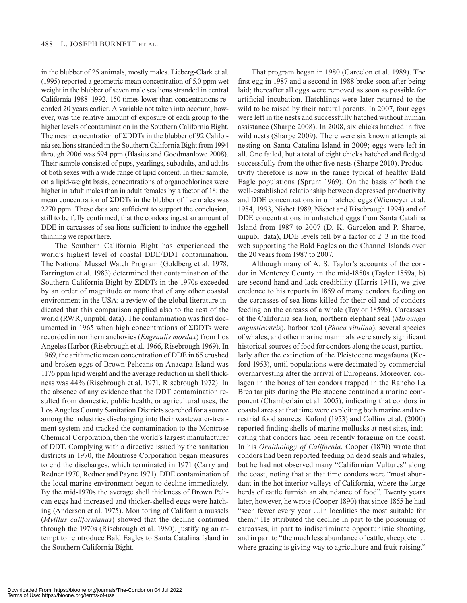in the blubber of 25 animals, mostly males. Lieberg-Clark et al. (1995) reported a geometric mean concentration of 5.0 ppm wet weight in the blubber of seven male sea lions stranded in central California 1988–1992, 150 times lower than concentrations recorded 20 years earlier. A variable not taken into account, however, was the relative amount of exposure of each group to the higher levels of contamination in the Southern California Bight. The mean concentration of ΣDDTs in the blubber of 92 California sea lions stranded in the Southern California Bight from 1994 through 2006 was 594 ppm (Blasius and Goodmanlowe 2008). Their sample consisted of pups, yearlings, subadults, and adults of both sexes with a wide range of lipid content. In their sample, on a lipid-weight basis, concentrations of organochlorines were higher in adult males than in adult females by a factor of 18; the mean concentration of ΣDDTs in the blubber of five males was 2270 ppm. These data are sufficient to support the conclusion, still to be fully confirmed, that the condors ingest an amount of DDE in carcasses of sea lions sufficient to induce the eggshell thinning we report here.

The Southern California Bight has experienced the world's highest level of coastal DDE/DDT contamination. The National Mussel Watch Program (Goldberg et al. 1978, Farrington et al. 1983) determined that contamination of the Southern California Bight by ΣDDTs in the 1970s exceeded by an order of magnitude or more that of any other coastal environment in the USA; a review of the global literature indicated that this comparison applied also to the rest of the world (RWR, unpubl. data). The contamination was first documented in 1965 when high concentrations of ΣDDTs were recorded in northern anchovies (*Engraulis mordax*) from Los Angeles Harbor (Risebrough et al. 1966, Risebrough 1969). In 1969, the arithmetic mean concentration of DDE in 65 crushed and broken eggs of Brown Pelicans on Anacapa Island was 1176 ppm lipid weight and the average reduction in shell thickness was 44% (Risebrough et al. 1971, Risebrough 1972). In the absence of any evidence that the DDT contamination resulted from domestic, public health, or agricultural uses, the Los Angeles County Sanitation Districts searched for a source among the industries discharging into their wastewater-treatment system and tracked the contamination to the Montrose Chemical Corporation, then the world's largest manufacturer of DDT. Complying with a directive issued by the sanitation districts in 1970, the Montrose Corporation began measures to end the discharges, which terminated in 1971 (Carry and Redner 1970, Redner and Payne 1971). DDE contamination of the local marine environment began to decline immediately. By the mid-1970s the average shell thickness of Brown Pelican eggs had increased and thicker-shelled eggs were hatching (Anderson et al. 1975). Monitoring of California mussels (*Mytilus californianus*) showed that the decline continued through the 1970s (Risebrough et al. 1980), justifying an attempt to reintroduce Bald Eagles to Santa Catalina Island in the Southern California Bight.

That program began in 1980 (Garcelon et al. 1989). The first egg in 1987 and a second in 1988 broke soon after being laid; thereafter all eggs were removed as soon as possible for artificial incubation. Hatchlings were later returned to the wild to be raised by their natural parents. In 2007, four eggs were left in the nests and successfully hatched without human assistance (Sharpe 2008). In 2008, six chicks hatched in five wild nests (Sharpe 2009). There were six known attempts at nesting on Santa Catalina Island in 2009; eggs were left in all. One failed, but a total of eight chicks hatched and fledged successfully from the other five nests (Sharpe 2010). Productivity therefore is now in the range typical of healthy Bald Eagle populations (Sprunt 1969). On the basis of both the well-established relationship between depressed productivity and DDE concentrations in unhatched eggs (Wiemeyer et al. 1984, 1993, Nisbet 1989, Nisbet and Risebrough 1994) and of DDE concentrations in unhatched eggs from Santa Catalina Island from 1987 to 2007 (D. K. Garcelon and P. Sharpe, unpubl. data), DDE levels fell by a factor of 2–3 in the food web supporting the Bald Eagles on the Channel Islands over the 20 years from 1987 to 2007.

Although many of A. S. Taylor's accounts of the condor in Monterey County in the mid-1850s (Taylor 1859a, b) are second hand and lack credibility (Harris 1941), we give credence to his reports in 1859 of many condors feeding on the carcasses of sea lions killed for their oil and of condors feeding on the carcass of a whale (Taylor 1859b). Carcasses of the California sea lion*,* northern elephant seal (*Mirounga angustirostris*), harbor seal (*Phoca vitulina*), several species of whales, and other marine mammals were surely significant historical sources of food for condors along the coast, particularly after the extinction of the Pleistocene megafauna (Koford 1953), until populations were decimated by commercial overharvesting after the arrival of Europeans. Moreover, collagen in the bones of ten condors trapped in the Rancho La Brea tar pits during the Pleistocene contained a marine component (Chamberlain et al. 2005), indicating that condors in coastal areas at that time were exploiting both marine and terrestrial food sources. Koford (1953) and Collins et al. (2000) reported finding shells of marine mollusks at nest sites, indicating that condors had been recently foraging on the coast. In his *Ornithology of California*, Cooper (1870) wrote that condors had been reported feeding on dead seals and whales, but he had not observed many "Californian Vultures" along the coast, noting that at that time condors were "most abundant in the hot interior valleys of California, where the large herds of cattle furnish an abundance of food". Twenty years later, however, he wrote (Cooper 1890) that since 1855 he had "seen fewer every year …in localities the most suitable for them." He attributed the decline in part to the poisoning of carcasses, in part to indiscriminate opportunistic shooting, and in part to "the much less abundance of cattle, sheep, etc.… where grazing is giving way to agriculture and fruit-raising."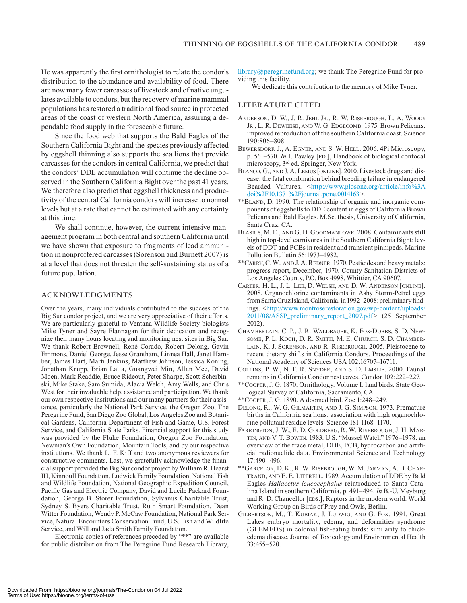He was apparently the first ornithologist to relate the condor's distribution to the abundance and availability of food. There are now many fewer carcasses of livestock and of native ungulates available to condors, but the recovery of marine mammal populations has restored a traditional food source in protected areas of the coast of western North America, assuring a dependable food supply in the foreseeable future.

Since the food web that supports the Bald Eagles of the Southern California Bight and the species previously affected by eggshell thinning also supports the sea lions that provide carcasses for the condors in central California, we predict that the condors' DDE accumulation will continue the decline observed in the Southern California Bight over the past 41 years. We therefore also predict that eggshell thickness and productivity of the central California condors will increase to normal levels but at a rate that cannot be estimated with any certainty at this time.

We shall continue, however, the current intensive management program in both central and southern California until we have shown that exposure to fragments of lead ammunition in nonproffered carcasses (Sorenson and Burnett 2007) is at a level that does not threaten the self-sustaining status of a future population.

#### ACKNOWLEDGMENTS

Over the years, many individuals contributed to the success of the Big Sur condor project, and we are very appreciative of their efforts. We are particularly grateful to Ventana Wildlife Society biologists Mike Tyner and Sayre Flannagan for their dedication and recognize their many hours locating and monitoring nest sites in Big Sur. We thank Robert Brownell, René Corado, Robert Delong, Gavin Emmons, Daniel George, Jesse Grantham, Linnea Hall, Janet Hamber, James Hart, Marti Jenkins, Matthew Johnson, Jessica Koning, Jonathan Krupp, Brian Latta, Guangwei Min, Allan Mee, David Moen, Mark Readdie, Bruce Rideout, Peter Sharpe, Scott Scherbinski, Mike Stake, Sam Sumida, Alacia Welch, Amy Wells, and Chris West for their invaluable help, assistance and participation. We thank our own respective institutions and our many partners for their assistance, particularly the National Park Service, the Oregon Zoo, The Peregrine Fund, San Diego Zoo Global, Los Angeles Zoo and Botanical Gardens, California Department of Fish and Game, U.S. Forest Service, and California State Parks. Financial support for this study was provided by the Fluke Foundation, Oregon Zoo Foundation, Newman's Own Foundation, Mountain Tools, and by our respective institutions. We thank L. F. Kiff and two anonymous reviewers for constructive comments. Last, we gratefully acknowledge the financial support provided the Big Sur condor project by William R. Hearst III, Kinnoull Foundation, Ludwick Family Foundation, National Fish and Wildlife Foundation, National Geographic Expedition Council, Pacific Gas and Electric Company, David and Lucile Packard Foundation, George B. Storer Foundation, Sylvanus Charitable Trust, Sydney S. Byers Charitable Trust, Ruth Smart Foundation, Dean Witter Foundation, Wendy P. McCaw Foundation, National Park Service, Natural Encounters Conservation Fund, U.S. Fish and Wildlife Service, and Will and Jada Smith Family Foundation.

Electronic copies of references preceded by "\*\*" are available for public distribution from The Peregrine Fund Research Library, library@peregrinefund.org; we thank The Peregrine Fund for providing this facility.

We dedicate this contribution to the memory of Mike Tyner.

# LITERATURE CITED

- ANDERSON, D. W., J. R. JEHL JR., R. W. RISEBROUGH, L. A. WOODS JR., L. R. DEWEESE, AND W. G. EDGECOMB. 1975. Brown Pelicans: improved reproduction off the southern California coast. Science 190:806–808.
- BEWERSDORF, J., A. EGNER, AND S. W. HELL. 2006. 4Pi Microscopy, p. 561–570. *In* J. Pawley [ED.], Handbook of biological confocal microscopy, 3rd ed. Springer, New York.
- BLANCO, G., AND J. A. LEMUS [ONLINE]. 2010. Livestock drugs and disease: the fatal combination behind breeding failure in endangered Bearded Vultures. <http://www.plosone.org/article/info%3A doi%2F10.1371%2Fjournal.pone.0014163>.
- \*\*BLAND, D. 1990. The relationship of organic and inorganic components of eggshells to DDE content in eggs of California Brown Pelicans and Bald Eagles. M.Sc. thesis, University of California, Santa Cruz, CA.
- BLASIUS, M. E., AND G. D. GOODMANLOWE. 2008. Contaminants still high in top-level carnivores in the Southern California Bight: levels of DDT and PCBs in resident and transient pinnipeds. Marine Pollution Bulletin 56:1973–1982.
- \*\*CARRY, C. W., AND J. A. REDNER. 1970. Pesticides and heavy metals: progress report, December, 1970. County Sanitation Districts of Los Angeles County, P.O. Box 4998, Whittier, CA 90607.
- CARTER, H. L., J. L. LEE, D. WELSH, AND D. W. ANDERSON [ONLINE]. 2008. Organochlorine contaminants in Ashy Storm-Petrel eggs from Santa Cruz Island, California, in 1992–2008: preliminary findings. <http://www.montroserestoration.gov/wp-content/uploads/ 2011/08/ASSP\_preliminary\_report\_2007.pdf> (25 September 2012).
- CHAMBERLAIN, C. P., J. R. WALDBAUER, K. FOX-DOBBS, S. D. NEW-SOME, P. L. KOCH, D. R. SMITH, M. E. CHURCH, S. D. CHAMBER-LAIN, K. J. SORENSON, AND R. RISEBROUGH. 2005. Pleistocene to recent dietary shifts in California Condors. Proceedings of the National Academy of Sciences USA 102:16707–16711.
- COLLINS, P. W., N. F. R. SNYDER, AND S. D. EMSLIE. 2000. Faunal remains in California Condor nest caves. Condor 102:222–227.
- \*\*COOPER, J. G. 1870. Ornithology. Volume I: land birds. State Geological Survey of California, Sacramento, CA.
- \*\*COOPER, J. G. 1890. A doomed bird. Zoe 1:248–249.
- DELONG, R., W. G. GILMARTIN, AND J. G. SIMPSON. 1973. Premature births in California sea lions: association with high organochlorine pollutant residue levels. Science 181:1168–1170.
- FARRINGTON, J. W., E. D. GOLDBERG, R. W. RISEBROUGH, J. H. MAR-TIN, AND V. T. BOWEN. 1983. U.S. "Mussel Watch" 1976–1978: an overview of the trace metal, DDE, PCB, hydrocarbon and artificial radionuclide data. Environmental Science and Technology 17:490–496.
- \*\*GARCELON, D. K., R. W. RISEBROUGH, W. M. JARMAN, A. B. CHAR-TRAND, AND E. E. LITTRELL. 1989. Accumulation of DDE by Bald Eagles *Haliaeetus leucocephalus* reintroduced to Santa Catalina Island in southern California, p. 491–494. *In* B.-U. Meyburg and R. D. Chancellor [EDS.], Raptors in the modern world. World Working Group on Birds of Prey and Owls, Berlin.
- GILBERTSON, M., T. KUBIAK, J. LUDWIG, AND G. FOX. 1991. Great Lakes embryo mortality, edema, and deformities syndrome (GLEMEDS) in colonial fish-eating birds: similarity to chickedema disease. Journal of Toxicology and Environmental Health 33:455–520.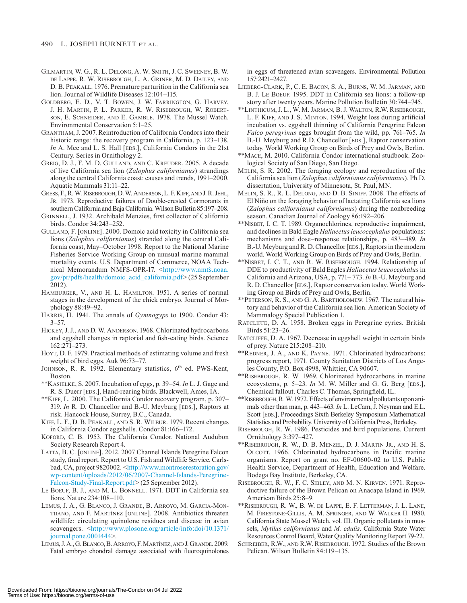- GILMARTIN, W. G., R. L. DELONG, A. W. SMITH, J. C. SWEENEY, B. W. DE LAPPE, R. W. RISEBROUGH, L. A. GRINER, M. D. DAILEY, AND D. B. PEAKALL. 1976. Premature parturition in the California sea lion. Journal of Wildlife Diseases 12:104–115.
- GOLDBERG, E. D., V. T. BOWEN, J. W. FARRINGTON, G. HARVEY, J. H. MARTIN, P. L. PARKER, R. W. RISEBROUGH, W. ROBERT-SON, E. SCHNEIDER, AND E. GAMBLE. 1978. The Mussel Watch. Environmental Conservation 5:1–25.
- GRANTHAM, J. 2007. Reintroduction of California Condors into their historic range: the recovery program in California, p. 123–138. *In* A. Mee and L. S. Hall [EDS.], California Condors in the 21st Century. Series in Ornithology 2.
- GREIG, D. J., F. M. D. GULLAND, AND C. KREUDER. 2005. A decade of live California sea lion (*Zalophus californianus*) strandings along the central California coast: causes and trends, 1991–2000. Aquatic Mammals 31:11–22.
- GRESS, F., R. W. RISEBROUGH, D. W. ANDERSON, L. F. KIFF, AND J. R. JEHL, JR. 1973. Reproductive failures of Double-crested Cormorants in southern California and Baja California. Wilson Bulletin 85:197–208.
- GRINNELL, J. 1932. Archibald Menzies, first collector of California birds. Condor 34:243–252.
- GULLAND, F. [ONLINE]. 2000. Domoic acid toxicity in California sea lions (*Zalophus californianus*) stranded along the central California coast, May–October 1998. Report to the National Marine Fisheries Service Working Group on unusual marine mammal mortality events. U.S. Department of Commerce, NOAA Technical Memorandum NMFS-OPR-17. <http://www.nmfs.noaa. gov/pr/pdfs/health/domoic\_acid\_california.pdf> (25 September 2012).
- HAMBURGER, V., AND H. L. HAMILTON. 1951. A series of normal stages in the development of the chick embryo. Journal of Morphology 88:49–92.
- HARRIS, H. 1941. The annals of *Gymnogyps* to 1900. Condor 43:  $3 - 57$ .
- HICKEY, J. J., AND D. W. ANDERSON. 1968. Chlorinated hydrocarbons and eggshell changes in raptorial and fish-eating birds. Science 162:271–273.
- HOYT, D. F. 1979. Practical methods of estimating volume and fresh weight of bird eggs. Auk 96:73–77.
- JOHNSON, R. R. 1992. Elementary statistics, 6<sup>th</sup> ed. PWS-Kent, Boston.
- \*\*KASIELKE, S. 2007. Incubation of eggs, p. 39–54. *In* L. J. Gage and R. S. Duerr [EDS.], Hand-rearing birds. Blackwell, Ames, IA.
- \*\*KIFF, L. 2000. The California Condor recovery program, p. 307– 319. *In* R. D. Chancellor and B.-U. Meyburg [EDS.], Raptors at risk. Hancock House, Surrey, B.C., Canada.
- KIFF, L. F., D. B. PEAKALL, AND S. R. WILBUR. 1979. Recent changes in California Condor eggshells. Condor 81:166–172.
- KOFORD, C. B. 1953. The California Condor. National Audubon Society Research Report 4.
- LATTA, B. C. [ONLINE]. 2012. 2007 Channel Islands Peregrine Falcon study, final report. Report to U.S. Fish and Wildlife Service, Carlsbad, CA, project 9820002. <http://www.montroserestoration.gov/ wp-content/uploads/2012/06/2007-Channel-Islands-Peregrine-Falcon-Study-Final-Report.pdf> (25 September 2012).
- LE BOEUF, B. J., AND M. L. BONNELL. 1971. DDT in California sea lions. Nature 234:108–110.
- LEMUS, J. A., G. BLANCO, J. GRANDE, B. ARROYO, M. GARCIA-MON-TIJANO, AND F. MARTÍNEZ [ONLINE]. 2008. Antibiotics threaten wildlife: circulating quinolone residues and disease in avian scavengers. <http://www.plosone.org/article/info:doi/10.1371/ journal.pone.0001444>.
- LEMUS, J. A., G. BLANCO, B. ARROYO, F. MARTÍNEZ, AND J. GRANDE. 2009. Fatal embryo chondral damage associated with fluoroquinolones

in eggs of threatened avian scavengers. Environmental Pollution 157:2421–2427.

- LIEBERG-CLARK, P., C. E. BACON, S. A., BURNS, W. M. JARMAN, AND B. J. LE BOEUF. 1995. DDT in California sea lions: a follow-up story after twenty years. Marine Pollution Bulletin 30:744–745.
- \*\*LINTHICUM, J. L., W. M. JARMAN, B. J. WALTON, R.W. RISEBROUGH, L. F. KIFF, AND J. S. MINTON. 1994. Weight loss during artificial incubation vs. eggshell thinning of California Peregrine Falcon *Falco peregrinus* eggs brought from the wild, pp. 761–765. *In* B.-U. Meyburg and R.D. Chancellor [EDS.], Raptor conservation today. World Working Group on Birds of Prey and Owls, Berlin.
- \*\*MACE, M. 2010. California Condor international studbook. Zoological Society of San Diego, San Diego.
- MELIN, S. R. 2002. The foraging ecology and reproduction of the California sea lion (*Zalophus californianus californianus*). Ph.D. dissertation, University of Minnesota, St. Paul, MN.
- MELIN, S. R., R. L. DELONG, AND D. B. SINIFF. 2008. The effects of El Niño on the foraging behavior of lactating California sea lions (*Zalophus californianus californianus*) during the nonbreeding season. Canadian Journal of Zoology 86:192–206.
- \*\*NISBET, I. C. T. 1989. Organochlorines, reproductive impairment, and declines in Bald Eagle *Haliaeetus leucocephalus* populations: mechanisms and dose–response relationships, p. 483–489. *In* B.-U. Meyburg and R. D. Chancellor [EDS.], Raptors in the modern world. World Working Group on Birds of Prey and Owls, Berlin.
- \*\*NISBET, I. C. T., AND R. W. RISEBROUGH. 1994. Relationship of DDE to productivity of Bald Eagles *Haliaeetus leucocephalus* in California and Arizona, USA, p. 771– 773. *In* B.-U. Meyburg and R. D. Chancellor [EDS.], Raptor conservation today. World Working Group on Birds of Prey and Owls, Berlin.
- \*\*PETERSON, R. S., AND G. A. BARTHOLOMEW. 1967. The natural history and behavior of the California sea lion. American Society of Mammalogy Special Publication 1.
- RATCLIFFE, D. A. 1958. Broken eggs in Peregrine eyries. British Birds 51:23–26.
- RATCLIFFE, D. A. 1967. Decrease in eggshell weight in certain birds of prey. Nature 215:208–210.
- \*\*REDNER, J. A., AND K. PAYNE. 1971. Chlorinated hydrocarbons: progress report, 1971. County Sanitation Districts of Los Angeles County, P.O. Box 4998, Whittier, CA 90607.
- \*\*RISEBROUGH, R. W. 1969. Chlorinated hydrocarbons in marine ecosystems, p. 5–23. *In* M. W. Miller and G. G. Berg [EDS.], Chemical fallout. Charles C. Thomas, Springfield, IL.
- \*\*RISEBROUGH, R. W. 1972. Effects of environmental pollutants upon animals other than man, p. 443–463. *In* L. LeCam, J. Neyman and E.L. Scott [EDS.], Proceedings Sixth Berkeley Symposium Mathematical Statistics and Probability. University of California Press, Berkeley.
- RISEBROUGH, R. W. 1986. Pesticides and bird populations. Current Ornithology 3:397–427.
- \*\*RISEBROUGH, R. W., D. B. MENZEL, D. J. MARTIN JR., AND H. S. OLCOTT. 1966. Chlorinated hydrocarbons in Pacific marine organisms. Report on grant no. EF-00600-02 to U.S. Public Health Service, Department of Health, Education and Welfare. Bodega Bay Institute, Berkeley, CA.
- RISEBROUGH, R. W., F. C. SIBLEY, AND M. N. KIRVEN. 1971. Reproductive failure of the Brown Pelican on Anacapa Island in 1969. American Birds 25:8–9.
- \*\*RISEBROUGH, R. W., B. W. DE LAPPE, E. F. LETTERMAN, J. L. LANE, M. FIRESTONE-GILLIS, A. M. SPRINGER, AND W. WALKER II. 1980. California State Mussel Watch, vol. III. Organic pollutants in mussels, *Mytilus californianus* and *M. edulis*. California State Water Resources Control Board, Water Quality Monitoring Report 79-22.
- SCHREIBER, R.W., AND R.W. RISEBROUGH. 1972. Studies of the Brown Pelican. Wilson Bulletin 84:119–135.